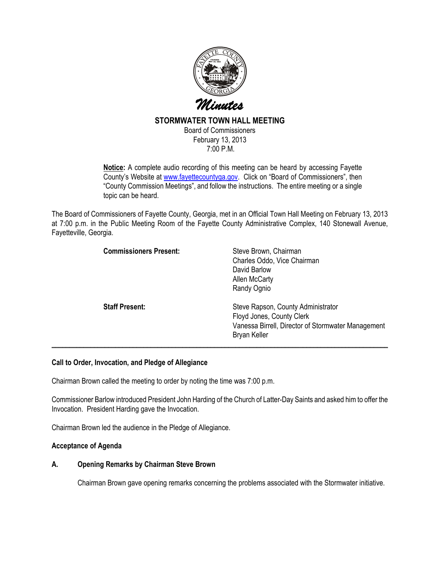

# STORMWATER TOWN HALL MEETING

Board of Commissioners February 13, 2013 7:00 P.M.

Notice: A complete audio recording of this meeting can be heard by accessing Fayette County's Website at www.fayettecountyga.gov. Click on "Board of Commissioners", then "County Commission Meetings", and follow the instructions. The entire meeting or a single topic can be heard.

The Board of Commissioners of Fayette County, Georgia, met in an Official Town Hall Meeting on February 13, 2013 at 7:00 p.m. in the Public Meeting Room of the Fayette County Administrative Complex, 140 Stonewall Avenue, Fayetteville, Georgia.

| <b>Commissioners Present:</b> | Steve Brown, Chairman<br>Charles Oddo, Vice Chairman<br>David Barlow<br>Allen McCarty<br>Randy Ognio                                         |
|-------------------------------|----------------------------------------------------------------------------------------------------------------------------------------------|
| <b>Staff Present:</b>         | Steve Rapson, County Administrator<br>Floyd Jones, County Clerk<br>Vanessa Birrell, Director of Stormwater Management<br><b>Bryan Keller</b> |

## Call to Order, Invocation, and Pledge of Allegiance

Chairman Brown called the meeting to order by noting the time was 7:00 p.m.

Commissioner Barlow introduced President John Harding of the Church of Latter-Day Saints and asked him to offer the Invocation. President Harding gave the Invocation.

Chairman Brown led the audience in the Pledge of Allegiance.

## Acceptance of Agenda

#### A. Opening Remarks by Chairman Steve Brown

Chairman Brown gave opening remarks concerning the problems associated with the Stormwater initiative.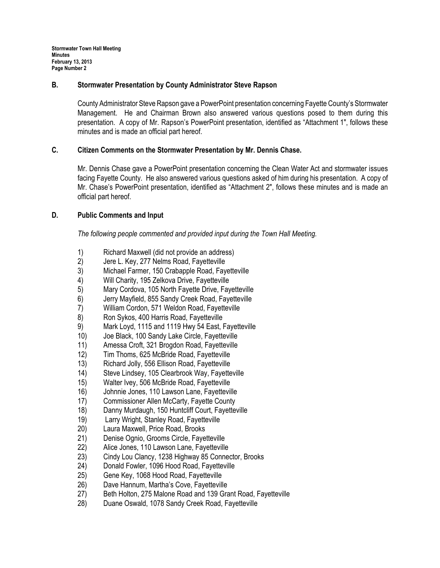Stormwater Town Hall Meeting Minutes February 13, 2013 Page Number 2

#### B. Stormwater Presentation by County Administrator Steve Rapson

County Administrator Steve Rapson gave a PowerPoint presentation concerning Fayette County's Stormwater Management. He and Chairman Brown also answered various questions posed to them during this presentation. A copy of Mr. Rapson's PowerPoint presentation, identified as "Attachment 1", follows these minutes and is made an official part hereof.

## C. Citizen Comments on the Stormwater Presentation by Mr. Dennis Chase.

Mr. Dennis Chase gave a PowerPoint presentation concerning the Clean Water Act and stormwater issues facing Fayette County. He also answered various questions asked of him during his presentation. A copy of Mr. Chase's PowerPoint presentation, identified as "Attachment 2", follows these minutes and is made an official part hereof.

#### D. Public Comments and Input

The following people commented and provided input during the Town Hall Meeting.

- 1) Richard Maxwell (did not provide an address)<br>2) Jere L. Kev. 277 Nelms Road. Favetteville
- 2) Jere L. Key, 277 Nelms Road, Fayetteville
- 3) Michael Farmer, 150 Crabapple Road, Fayetteville
- 4) Will Charity, 195 Zelkova Drive, Fayetteville<br>5) Mary Cordova, 105 North Fayette Drive, Fay
- Mary Cordova, 105 North Fayette Drive, Fayetteville
- 6) Jerry Mayfield, 855 Sandy Creek Road, Fayetteville
- 7) William Cordon, 571 Weldon Road, Fayetteville
- 8) Ron Sykos, 400 Harris Road, Fayetteville
- 9) Mark Loyd, 1115 and 1119 Hwy 54 East, Fayetteville
- 10) Joe Black, 100 Sandy Lake Circle, Fayetteville
- 11) Amessa Croft, 321 Brogdon Road, Fayetteville
- 12) Tim Thoms, 625 McBride Road, Fayetteville
- 13) Richard Jolly, 556 Ellison Road, Fayetteville
- 14) Steve Lindsey, 105 Clearbrook Way, Fayetteville
- 15) Walter Ivey, 506 McBride Road, Fayetteville
- 16) Johnnie Jones, 110 Lawson Lane, Fayetteville
- 17) Commissioner Allen McCarty, Fayette County
- 18) Danny Murdaugh, 150 Huntcliff Court, Fayetteville
- 19) Larry Wright, Stanley Road, Fayetteville
- 20) Laura Maxwell, Price Road, Brooks
- 21) Denise Ognio, Grooms Circle, Fayetteville
- 22) Alice Jones, 110 Lawson Lane, Fayetteville
- 23) Cindy Lou Clancy, 1238 Highway 85 Connector, Brooks
- 24) Donald Fowler, 1096 Hood Road, Fayetteville
- 25) Gene Key, 1068 Hood Road, Fayetteville
- 26) Dave Hannum, Martha's Cove, Fayetteville
- 27) Beth Holton, 275 Malone Road and 139 Grant Road, Fayetteville
- 28) Duane Oswald, 1078 Sandy Creek Road, Fayetteville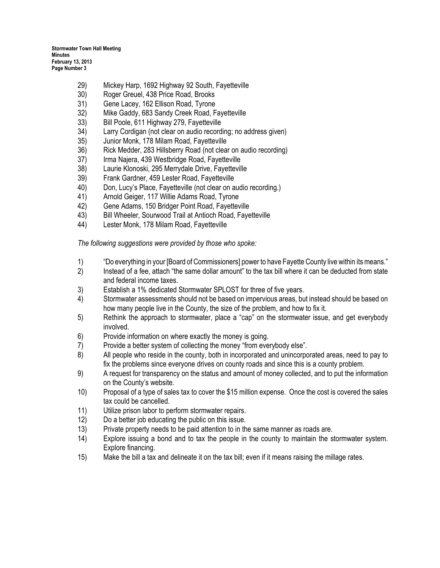Stormwater Town Hall Meeting Minutes February 13, 2013 Page Number 3

- 29) Mickey Harp, 1692 Highway 92 South, Fayetteville
- 30) Roger Greuel, 438 Price Road, Brooks
- 31) Gene Lacey, 162 Ellison Road, Tyrone
- 32) Mike Gaddy, 683 Sandy Creek Road, Fayetteville
- 33) Bill Poole, 611 Highway 279, Fayetteville
- 34) Larry Cordigan (not clear on audio recording; no address given)
- 35) Junior Monk, 178 Milam Road, Fayetteville
- 36) Rick Medder, 283 Hillsberry Road (not clear on audio recording)
- 37) Irma Najera, 439 Westbridge Road, Fayetteville
- 38) Laurie Klonoski, 295 Merrydale Drive, Fayetteville
- 39) Frank Gardner, 459 Lester Road, Fayetteville
- 40) Don, Lucy's Place, Fayetteville (not clear on audio recording.)
- 41) Arnold Geiger, 117 Willie Adams Road, Tyrone
- 42) Gene Adams, 150 Bridger Point Road, Fayetteville
- 43) Bill Wheeler, Sourwood Trail at Antioch Road, Fayetteville
- 44) Lester Monk, 178 Milam Road, Fayetteville

The following suggestions were provided by those who spoke:

- 1) "Do everything in your [Board of Commissioners] power to have Fayette County live within its means."
- 2) Instead of a fee, attach "the same dollar amount" to the tax bill where it can be deducted from state and federal income taxes.
- 3) Establish a 1% dedicated Stormwater SPLOST for three of five years.
- 4) Stormwater assessments should not be based on impervious areas, but instead should be based on how many people live in the County, the size of the problem, and how to fix it.
- 5) Rethink the approach to stormwater, place a "cap" on the stormwater issue, and get everybody involved.
- 6) Provide information on where exactly the money is going.
- 7) Provide a better system of collecting the money "from everybody else".
- 8) All people who reside in the county, both in incorporated and unincorporated areas, need to pay to fix the problems since everyone drives on county roads and since this is a county problem.
- 9) A request for transparency on the status and amount of money collected, and to put the information on the County's website.
- 10) Proposal of a type of sales tax to cover the \$15 million expense. Once the cost is covered the sales tax could be cancelled.
- 11) Utilize prison labor to perform stormwater repairs.
- 12) Do a better job educating the public on this issue.
- 13) Private property needs to be paid attention to in the same manner as roads are.
- 14) Explore issuing a bond and to tax the people in the county to maintain the stormwater system. Explore financing.
- 15) Make the bill a tax and delineate it on the tax bill; even if it means raising the millage rates.